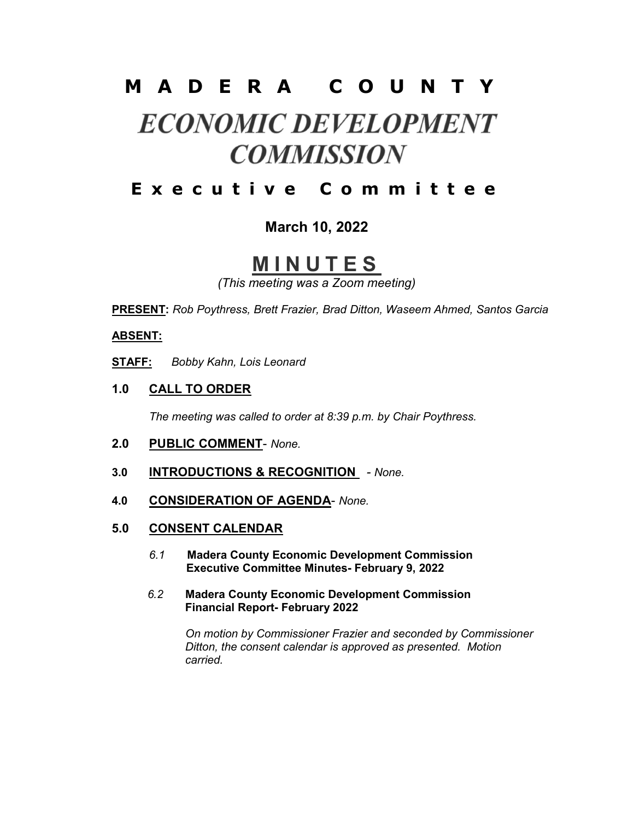# M A D E R A C O U N T Y

# **ECONOMIC DEVELOPMENT COMMISSION**

## E x e c u t i v e C o m m i t t e e

### March 10, 2022

# **MINUTES**

(This meeting was a Zoom meeting)

PRESENT: Rob Poythress, Brett Frazier, Brad Ditton, Waseem Ahmed, Santos Garcia

#### ABSENT:

STAFF: Bobby Kahn, Lois Leonard

1.0 CALL TO ORDER

The meeting was called to order at 8:39 p.m. by Chair Poythress.

- 2.0 PUBLIC COMMENT- None.
- 3.0 **INTRODUCTIONS & RECOGNITION** None.
- 4.0 CONSIDERATION OF AGENDA- None.
- 5.0 CONSENT CALENDAR
	- 6.1 Madera County Economic Development Commission Executive Committee Minutes- February 9, 2022
	- 6.2 Madera County Economic Development Commission Financial Report- February 2022

 On motion by Commissioner Frazier and seconded by Commissioner Ditton, the consent calendar is approved as presented. Motion carried.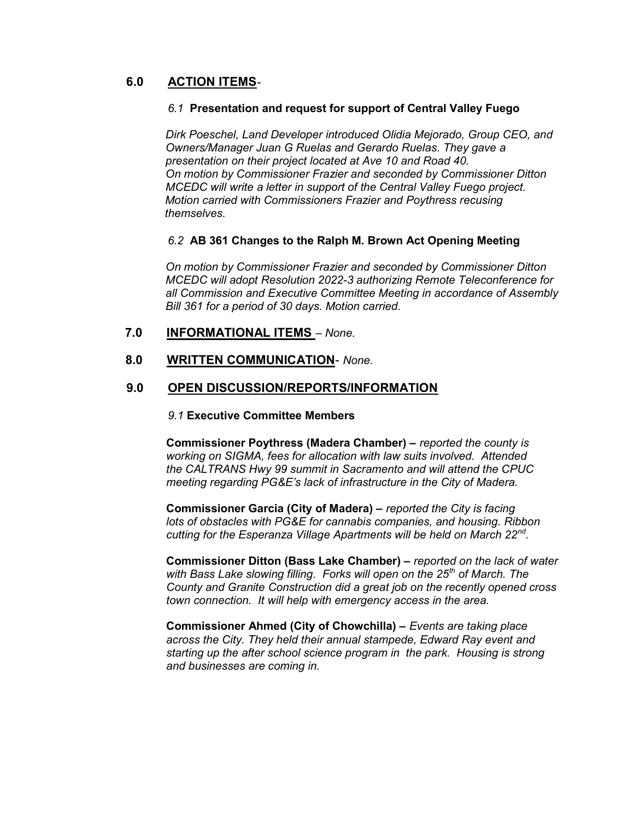#### 6.0 ACTION ITEMS-

#### 6.1 Presentation and request for support of Central Valley Fuego

 Dirk Poeschel, Land Developer introduced Olidia Mejorado, Group CEO, and Owners/Manager Juan G Ruelas and Gerardo Ruelas. They gave a presentation on their project located at Ave 10 and Road 40. On motion by Commissioner Frazier and seconded by Commissioner Ditton MCEDC will write a letter in support of the Central Valley Fuego project. Motion carried with Commissioners Frazier and Poythress recusing themselves.

#### 6.2 AB 361 Changes to the Ralph M. Brown Act Opening Meeting

 On motion by Commissioner Frazier and seconded by Commissioner Ditton MCEDC will adopt Resolution 2022-3 authorizing Remote Teleconference for all Commission and Executive Committee Meeting in accordance of Assembly Bill 361 for a period of 30 days. Motion carried.

#### 7.0 INFORMATIONAL ITEMS – None.

#### 8.0 WRITTEN COMMUNICATION- None.

#### 9.0 OPEN DISCUSSION/REPORTS/INFORMATION

#### 9.1 Executive Committee Members

 Commissioner Poythress (Madera Chamber) – reported the county is working on SIGMA, fees for allocation with law suits involved. Attended the CALTRANS Hwy 99 summit in Sacramento and will attend the CPUC meeting regarding PG&E's lack of infrastructure in the City of Madera.

 Commissioner Garcia (City of Madera) – reported the City is facing lots of obstacles with PG&E for cannabis companies, and housing. Ribbon cutting for the Esperanza Village Apartments will be held on March 22<sup>nd</sup>.

> Commissioner Ditton (Bass Lake Chamber) – reported on the lack of water with Bass Lake slowing filling. Forks will open on the 25<sup>th</sup> of March. The County and Granite Construction did a great job on the recently opened cross town connection. It will help with emergency access in the area.

 Commissioner Ahmed (City of Chowchilla) – Events are taking place across the City. They held their annual stampede, Edward Ray event and starting up the after school science program in the park. Housing is strong and businesses are coming in.